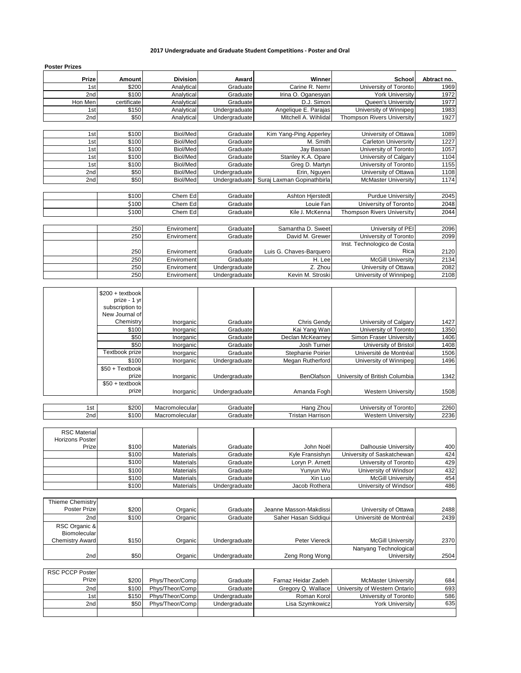## **2017 Undergraduate and Graduate Student Competitions - Poster and Oral**

| <b>Poster Prizes</b> |               |                 |               |                            |                                   |             |
|----------------------|---------------|-----------------|---------------|----------------------------|-----------------------------------|-------------|
| <b>Prize</b>         | <b>Amount</b> | <b>Division</b> | Award         | Winner                     | School                            | Abtract no. |
| 1 <sub>st</sub>      | \$200         | Analytical      | Graduate      | Carine R. Nemr             | University of Toronto             | 1969        |
| 2 <sub>nd</sub>      | \$100         | Analytical      | Graduate      | Irina O. Oganesyan         | <b>York University</b>            | 1972        |
| Hon Men              | certificate   | Analytical      | Graduate      | D.J. Simon                 | Queen's University                | 1977        |
| 1st                  | \$150         | Analytical      | Undergraduate | Angelique E. Parajas       | University of Winnipeg            | 1983        |
| 2nd                  | \$50          | Analytical      | Undergraduate | Mitchell A. Wihlidal       | <b>Thompson Rivers University</b> | 1927        |
|                      |               |                 |               |                            |                                   |             |
| 1st                  | \$100         | Biol/Med        | Graduate      | Kim Yang-Ping Apperley     | University of Ottawa              | 1089        |
| 1st                  | \$100         | Biol/Med        | Graduate      | M. Smith                   | <b>Carleton Universritv</b>       | 1227        |
| 1st                  | \$100         | Biol/Med        | Graduate      | Jay Bassan                 | University of Toronto             | 1057        |
| 1 <sub>st</sub>      | \$100         | Biol/Med        | Graduate      | Stanley K.A. Opare         | University of Calgary             | 1104        |
| 1st                  | \$100         | Biol/Med        | Graduate      | Greg D. Martyn             | University of Toronto             | 1155        |
| 2 <sub>nd</sub>      | \$50          | Biol/Med        | Undergraduate | Erin, Nguyen               | University of Ottawa              | 1108        |
| 2 <sub>nd</sub>      | \$50          | Biol/Med        | Undergraduate | Suraj Laxman Gopinathbirla | <b>McMaster University</b>        | 1174        |
|                      |               |                 |               |                            |                                   |             |
|                      | \$100         | Chem Ed         | Graduate      | <b>Ashton Hierstedt</b>    | <b>Purdue University</b>          | 2045        |
|                      | \$100         | Chem Ed         | Graduate      | Louie Fan                  | University of Toronto             | 2048        |
|                      | \$100         | Chem Ed         | Graduate      | Kile J. McKenna            | <b>Thompson Rivers University</b> | 2044        |
|                      |               |                 |               |                            |                                   |             |
|                      | 250           | Enviroment      | Graduate      | Samantha D. Sweet          | University of PEI                 | 2096        |
|                      | 250           | Enviroment      | Graduate      | David M. Grewer            | University of Toronto             | 2099        |
|                      |               |                 |               |                            | Inst. Technologico de Costa       |             |
|                      | 250           | Enviroment      | Graduate      | Luis G. Chaves-Barquero    | Rica                              | 2120        |
|                      | 250           | Enviroment      | Graduate      | H. Lee                     | <b>McGill University</b>          | 2134        |
|                      | 250           | Enviroment      | Undergraduate | Z. Zhou                    | University of Ottawa              | 2082        |
|                      | 250           | Enviroment      | Undergraduate | Kevin M. Stroski           | University of Winnipeg            | 2108        |

|     | $$200 + textbook$<br>prize - 1 yr<br>subscription to<br>New Journal of |                |                      |                   |                                |      |
|-----|------------------------------------------------------------------------|----------------|----------------------|-------------------|--------------------------------|------|
|     | Chemistry                                                              | Inorganic      | Graduate             | Chris Gendy       | University of Calgary          | 1427 |
|     | \$100                                                                  | Inorganic      | Graduate             | Kai Yang Wan      | University of Toronto          | 1350 |
|     | \$50                                                                   | Inorganic      | Graduate             | Declan McKearnev  | Simon Fraser University        | 1406 |
|     | \$50                                                                   | Inorganic      | Graduate             | Josh Turner       | University of Bristol          | 1408 |
|     | Textbook prize                                                         | Inorganic      | Graduate             | Stephanie Poirier | Université de Montréal         | 1506 |
|     | \$100                                                                  | Inorganic      | <b>Undergraduate</b> | Megan Rutherford  | University of Winnipeg         | 1496 |
|     | $$50 + Textbook$<br>prize                                              | Inorganic      | Undergraduate        | <b>BenOlafson</b> | University of British Columbia | 1342 |
|     | $$50 + textbook$                                                       |                |                      |                   |                                |      |
|     | prize                                                                  | Inorganic      | Undergraduate        | Amanda Fogh       | <b>Western University</b>      | 1508 |
|     |                                                                        |                |                      |                   |                                |      |
| 1st | \$200                                                                  | Macromolecular | Graduate             | Hang Zhou         | University of Toronto          | 2260 |
| 2nd | \$100                                                                  | Macromolecular | Graduate             | Tristan Harrison  | <b>Western University</b>      | 2236 |

| <b>RSC Material</b>    |       |                  |               |                 |                            |     |
|------------------------|-------|------------------|---------------|-----------------|----------------------------|-----|
| <b>Horizons Poster</b> |       |                  |               |                 |                            |     |
| Prize                  | \$100 | <b>Materials</b> | Graduate      | John Noël       | Dalhousie University       | 400 |
|                        | \$100 | <b>Materials</b> | Graduate      | Kyle Fransishyn | University of Saskatchewan | 424 |
|                        | \$100 | <b>Materials</b> | Graduate      | Loryn P. Arnett | University of Toronto      | 429 |
|                        | \$100 | <b>Materials</b> | Graduate      | Yunvun Wu       | University of Windsor      | 432 |
|                        | \$100 | <b>Materials</b> | Graduate      | Xin Luo         | <b>McGill University</b>   | 454 |
|                        | \$100 | <b>Materials</b> | Undergraduate | Jacob Rothera   | University of Windsor      | 486 |

| Thieme Chemistry                     |       |          |               |                        |                          |      |
|--------------------------------------|-------|----------|---------------|------------------------|--------------------------|------|
| Poster Prize                         | \$200 | Organicl | Graduate      | Jeanne Masson-Makdissi | University of Ottawa     | 2488 |
| 2nd                                  | \$100 | Organicl | Graduate      | Saher Hasan Siddigui   | Université de Montréal   | 2439 |
| RSC Organic &<br><b>Biomolecular</b> |       |          |               |                        |                          |      |
| <b>Chemistry Award</b>               | \$150 | Organic  | Undergraduate | Peter Viereck          | <b>McGill University</b> | 2370 |
|                                      |       |          |               |                        | Nanyang Technological    |      |
| 2nd                                  | \$50  | Organic  | Undergraduate | Zeng Rong Wong         | University               | 2504 |

| <b>RSC PCCP PosterI</b> |       |                 |               |                     |                               |     |
|-------------------------|-------|-----------------|---------------|---------------------|-------------------------------|-----|
| Prize                   | \$200 | Phys/Theor/Comp | Graduate      | Farnaz Heidar Zadeh | <b>McMaster University</b>    | 684 |
| 2nd                     | \$100 | Phys/Theor/Comp | Graduate      | Gregory Q. Wallace  | University of Western Ontario | 693 |
| 1st                     | \$150 | Phys/Theor/Comp | Undergraduate | Roman Korol         | University of Toronto         | 586 |
| 2nd                     | \$50  | Phys/Theor/Comp | Undergraduate | Lisa Szymkowicz     | <b>York University</b>        | 635 |
|                         |       |                 |               |                     |                               |     |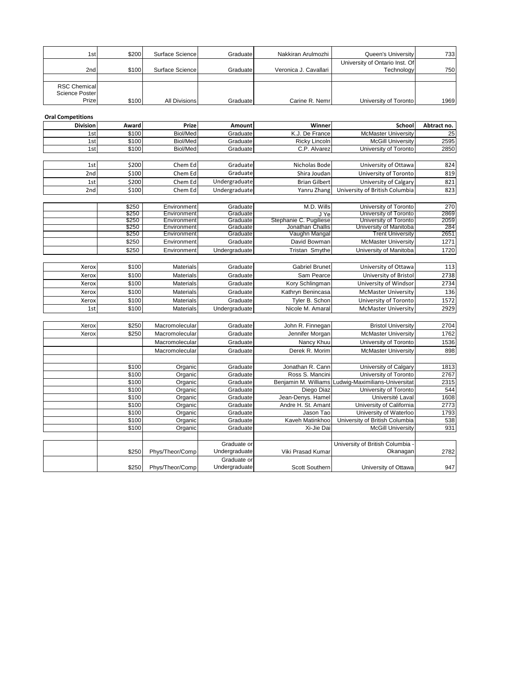| 1st <sub>1</sub>                      | \$200 | Surface Science | Graduate | Nakkiran Arulmozhi    | Queen's University                           | 7331 |
|---------------------------------------|-------|-----------------|----------|-----------------------|----------------------------------------------|------|
| 2nd                                   | \$100 | Surface Science | Graduate | Veronica J. Cavallari | University of Ontario Inst. Of<br>Technology | 750  |
|                                       |       |                 |          |                       |                                              |      |
| <b>RSC Chemical</b><br>Science Poster |       |                 |          |                       |                                              |      |
| Prize                                 | \$100 | All Divisions   | Graduate | Carine R. Nemr        | University of Toronto                        | 1969 |

|  | <b>Oral Competition</b> |
|--|-------------------------|

| Division        | Award | Prize           | Amount        | Winner                 | School                         | Abtract no. |
|-----------------|-------|-----------------|---------------|------------------------|--------------------------------|-------------|
| 1st             | \$100 | Biol/Med        | Graduate      | K.J. De France         | <b>McMaster University</b>     | 25          |
| 1st             | \$100 | Biol/Med        | Graduate      | <b>Ricky Lincoln</b>   | <b>McGill University</b>       | 2595        |
| 1st             | \$100 | Biol/Med        | Graduate      | C.P. Alvarez           | University of Toronto          | 2850        |
|                 |       |                 |               |                        |                                |             |
| 1st             | \$200 | Chem Ed         | Graduate      | Nicholas Bode          | University of Ottawa           | 824         |
| 2nd             | \$100 | Chem Ed         | Graduate      | Shira Joudan           | University of Toronto          | 819         |
| 1st             | \$200 | Chem Ed         | Undergraduate | <b>Brian Gilbert</b>   | University of Calgary          | 821         |
| 2 <sub>nd</sub> | \$100 | Chem Ed         | Undergraduate | Yanru Zhang            | University of British Columbia | 823         |
|                 |       |                 |               |                        |                                |             |
|                 | \$250 | Environment     | Graduate      | M.D. Wills             | University of Toronto          | 270         |
|                 | \$250 | Environment     | Graduate      | J Ye                   | University of Toronto          | 2869        |
|                 | \$250 | Environment     | Graduate      | Stephanie C. Pugiliese | University of Toronto          | 2059        |
|                 | \$250 | Environment     | Graduate      | Jonathan Challis       | University of Manitoba         | 284         |
|                 | \$250 | Environment     | Graduate      | Vaughn Mangal          | <b>Trent University</b>        | 2651        |
|                 | \$250 | Environment     | Graduate      | David Bowman           | <b>McMaster University</b>     | 1271        |
|                 | \$250 | Environment     | Undergraduate | <b>Tristan Smythe</b>  | University of Manitoba         | 1720        |
|                 |       |                 |               |                        |                                |             |
| Xerox           | \$100 | Materials       | Graduate      | <b>Gabriel Brunet</b>  | University of Ottawa           | 113         |
| Xerox           | \$100 | Materials       | Graduate      | Sam Pearce             | University of Bristol          | 2738        |
| Xerox           | \$100 | Materials       | Graduate      | Kory Schlingman        | University of Windsor          | 2734        |
| Xerox           | \$100 | Materials       | Graduate      | Kathryn Benincasa      | <b>McMaster University</b>     | 136         |
| Xerox           | \$100 | Materials       | Graduate      | Tyler B. Schon         | University of Toronto          | 1572        |
| 1st             | \$100 | Materials       | Undergraduate | Nicole M. Amaral       | <b>McMaster University</b>     | 2929        |
|                 |       |                 |               |                        |                                |             |
| Xerox           | \$250 | Macromolecular  | Graduate      | John R. Finnegan       | <b>Bristol University</b>      | 2704        |
| Xerox           | \$250 | Macromolecular  | Graduate      | Jennifer Morgan        | <b>McMaster University</b>     | 1762        |
|                 |       | Macromolecular  | Graduate      | Nancy Khuu             | University of Toronto          | 1536        |
|                 |       | Macromolecular  | Graduate      | Derek R. Morim         | <b>McMaster University</b>     | 898         |
|                 |       |                 |               |                        |                                |             |
|                 | \$100 | Organic         | Graduate      | Jonathan R. Cann       | University of Calgary          | 1813        |
|                 | \$100 | Organic         | Graduate      | Ross S. Mancini        | University of Toronto          | 2767        |
|                 | \$100 | Organic         | Graduate      | Benjamin M. Williams   | Ludwig-Maximilians-Universitat | 2315        |
|                 | \$100 | Organic         | Graduate      | Diego Diaz             | University of Toronto          | 544         |
|                 | \$100 | Organic         | Graduate      | Jean-Denys. Hamel      | Université Laval               | 1608        |
|                 | \$100 | Organic         | Graduate      | Andre H. St. Amant     | University of California       | 2773        |
|                 | \$100 | Organic         | Graduate      | Jason Tao              | University of Waterloo         | 1793        |
|                 | \$100 | Organic         | Graduate      | Kaveh Matinkhoo        | University of British Columbia | 538         |
|                 | \$100 | Organic         | Graduate      | Xi-Jie Dai             | <b>McGill University</b>       | 931         |
|                 |       |                 |               |                        |                                |             |
|                 |       |                 | Graduate or   |                        | University of British Columbia |             |
|                 | \$250 | Phys/Theor/Comp | Undergraduate | Viki Prasad Kumar      | Okanagan                       | 2782        |
|                 |       |                 | Graduate or   |                        |                                |             |
|                 |       | Phys/Theor/Comp | Undergraduate | Scott Southern         |                                | 947         |
|                 | \$250 |                 |               |                        | University of Ottawa           |             |